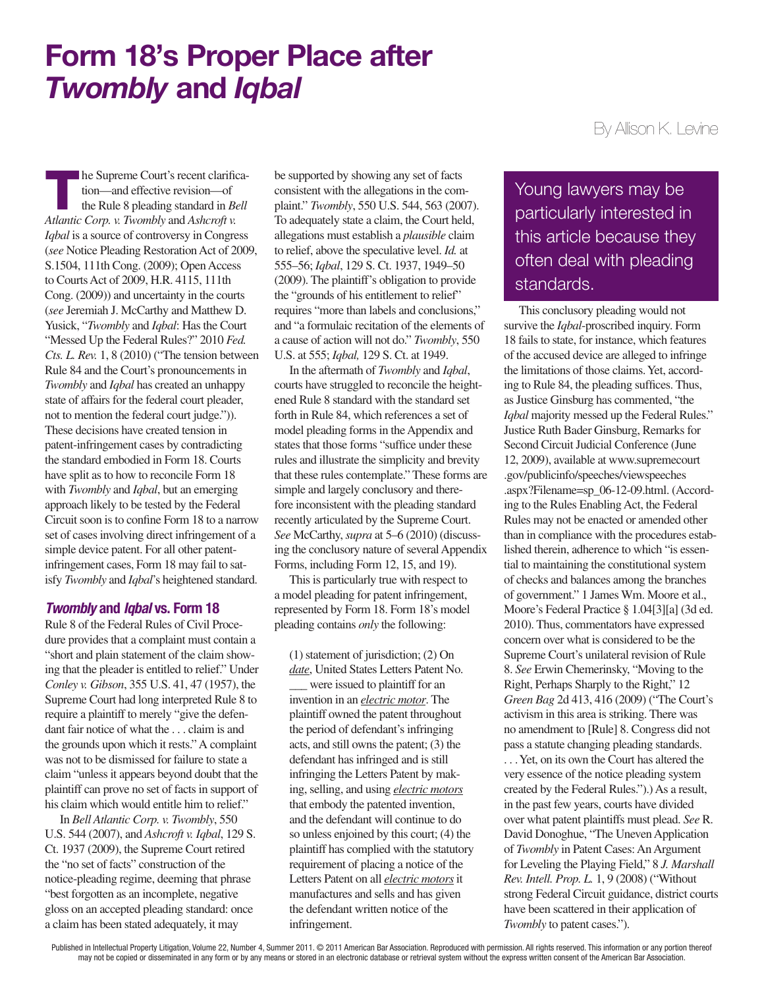# Form 18's Proper Place after *Twombly* and *Iqbal*

The Supreme Court's recent clarifica-<br>tion—and effective revision—of<br>the Rule 8 pleading standard in *Bell*<br>Adams Cown v Tusculational Ashand v tion—and effective revision—of *Atlantic Corp. v. Twombly* and *Ashcroft v. Iqbal* is a source of controversy in Congress (*see* Notice Pleading Restoration Act of 2009, S.1504, 111th Cong. (2009); Open Access to Courts Act of 2009, H.R. 4115, 111th Cong. (2009)) and uncertainty in the courts (*see* Jeremiah J. McCarthy and Matthew D. Yusick, "*Twombly* and *Iqbal*: Has the Court "Messed Up the Federal Rules?" 2010 *Fed. Cts. L. Rev.* 1, 8 (2010) ("The tension between Rule 84 and the Court's pronouncements in *Twombly* and *Iqbal* has created an unhappy state of affairs for the federal court pleader, not to mention the federal court judge.")). These decisions have created tension in patent-infringement cases by contradicting the standard embodied in Form 18. Courts have split as to how to reconcile Form 18 with *Twombly* and *Iqbal*, but an emerging approach likely to be tested by the Federal Circuit soon is to confine Form 18 to a narrow set of cases involving direct infringement of a simple device patent. For all other patentinfringement cases, Form 18 may fail to satisfy *Twombly* and *Iqbal*'s heightened standard.

### *Twombly* and *Iqbal* vs. Form 18

Rule 8 of the Federal Rules of Civil Procedure provides that a complaint must contain a "short and plain statement of the claim showing that the pleader is entitled to relief." Under *Conley v. Gibson*, 355 U.S. 41, 47 (1957), the Supreme Court had long interpreted Rule 8 to require a plaintiff to merely "give the defendant fair notice of what the . . . claim is and the grounds upon which it rests." A complaint was not to be dismissed for failure to state a claim "unless it appears beyond doubt that the plaintiff can prove no set of facts in support of his claim which would entitle him to relief."

In *Bell Atlantic Corp. v. Twombly*, 550 U.S. 544 (2007), and *Ashcroft v. Iqbal*, 129 S. Ct. 1937 (2009), the Supreme Court retired the "no set of facts" construction of the notice-pleading regime, deeming that phrase "best forgotten as an incomplete, negative gloss on an accepted pleading standard: once a claim has been stated adequately, it may

be supported by showing any set of facts consistent with the allegations in the complaint." *Twombly*, 550 U.S. 544, 563 (2007). To adequately state a claim, the Court held, allegations must establish a *plausible* claim to relief, above the speculative level. *Id.* at 555–56; *Iqbal*, 129 S. Ct. 1937, 1949–50 (2009). The plaintiff's obligation to provide the "grounds of his entitlement to relief" requires "more than labels and conclusions," and "a formulaic recitation of the elements of a cause of action will not do." *Twombly*, 550 U.S. at 555; *Iqbal,* 129 S. Ct. at 1949.

In the aftermath of *Twombly* and *Iqbal*, courts have struggled to reconcile the heightened Rule 8 standard with the standard set forth in Rule 84, which references a set of model pleading forms in the Appendix and states that those forms "suffice under these rules and illustrate the simplicity and brevity that these rules contemplate." These forms are simple and largely conclusory and therefore inconsistent with the pleading standard recently articulated by the Supreme Court. *See* McCarthy, *supra* at 5–6 (2010) (discussing the conclusory nature of several Appendix Forms, including Form 12, 15, and 19).

This is particularly true with respect to a model pleading for patent infringement, represented by Form 18. Form 18's model pleading contains *only* the following:

(1) statement of jurisdiction; (2) On *date*, United States Letters Patent No.

\_\_\_ were issued to plaintiff for an invention in an *electric motor*. The plaintiff owned the patent throughout the period of defendant's infringing acts, and still owns the patent; (3) the defendant has infringed and is still infringing the Letters Patent by making, selling, and using *electric motors* that embody the patented invention, and the defendant will continue to do so unless enjoined by this court; (4) the plaintiff has complied with the statutory requirement of placing a notice of the Letters Patent on all *electric motors* it manufactures and sells and has given the defendant written notice of the infringement.

## By Allison K. Levine

Young lawyers may be particularly interested in this article because they often deal with pleading standards.

This conclusory pleading would not survive the *Iqbal*-proscribed inquiry. Form 18 fails to state, for instance, which features of the accused device are alleged to infringe the limitations of those claims. Yet, according to Rule 84, the pleading suffices. Thus, as Justice Ginsburg has commented, "the *Iqbal* majority messed up the Federal Rules." Justice Ruth Bader Ginsburg, Remarks for Second Circuit Judicial Conference (June 12, 2009), available at www.supremecourt .gov/publicinfo/speeches/viewspeeches .aspx?Filename=sp\_06-12-09.html. (According to the Rules Enabling Act, the Federal Rules may not be enacted or amended other than in compliance with the procedures established therein, adherence to which "is essential to maintaining the constitutional system of checks and balances among the branches of government." 1 James Wm. Moore et al., Moore's Federal Practice § 1.04[3][a] (3d ed. 2010). Thus, commentators have expressed concern over what is considered to be the Supreme Court's unilateral revision of Rule 8. *See* Erwin Chemerinsky, "Moving to the Right, Perhaps Sharply to the Right," 12 *Green Bag* 2d 413, 416 (2009) ("The Court's activism in this area is striking. There was no amendment to [Rule] 8. Congress did not pass a statute changing pleading standards.

. . . Yet, on its own the Court has altered the very essence of the notice pleading system created by the Federal Rules.").) As a result, in the past few years, courts have divided over what patent plaintiffs must plead. *See* R. David Donoghue, "The Uneven Application of *Twombly* in Patent Cases: An Argument for Leveling the Playing Field," 8 *J. Marshall Rev. Intell. Prop. L.* 1, 9 (2008) ("Without strong Federal Circuit guidance, district courts have been scattered in their application of *Twombly* to patent cases.").